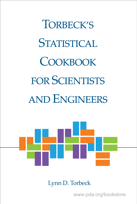**TORBECK'S STATISTICAL COOKBOOK FOR SCIENTISTS AND ENGINEERS** 



Lynn D. Torbeck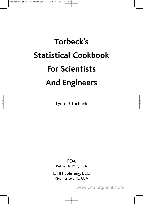# **Torbeck's Statistical Cookbook For Scientists And Engineers**

Lynn D.Torbeck

PDA Bethesda, MD, USA

DHI Publishing, LLC River Grove, IL, USA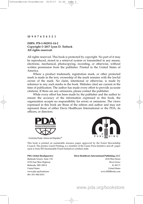#### **10 987654321**

#### **ISBN: 978-1-942911-14-2 Copyright © 2017 Lynn D. Torbeck All rights reserved.**

All rights reserved. This book is protected by copyright. No part of it may be reproduced, stored in a retrieval system or transmitted in any means, electronic, mechanical, photocopying, recording, or otherwise, without written permission from the publisher. Printed in the United States of America.

Where a product trademark, registration mark, or other protected mark is made in the text, ownership of the mark remains with the lawful owner of the mark. No claim, intentional or otherwise, is made by reference to any such marks in the book. Websites cited are current at the time of publication. The author has made every effort to provide accurate citations. If there are any omissions, please contact the publisher.

While every effort has been made by the publisher and the author to ensure the accuracy of the information expressed in this book, the organization accepts no responsibility for errors or omissions. The views expressed in this book are those of the editors and author and may not represent those of either Davis Healthcare International or the PDA, its officers, or directors.



Connecting People, Science and Regulation<sup>®</sup>



This book is printed on sustainable resource paper approved by the Forest Stewardship Council. The printer, Gasch Printing, is a member of the Green Press Initiative and all paper used is from SFI (Sustainable Forest Initiative) certified mills.

001-301-986-0293

#### **PDA Global Headquarters Davis Healthcare International Publishing, LLC**

Bethesda Towers, Suite 150 2636 West Street 4350 East-West Highway River Grove Bethesda, MD 20814 IL 60171 United States United States www.pda.org/bookstore www.DHIBooks.com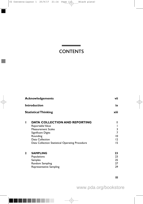## **CONTENTS**

| <b>Acknowledgements</b><br><b>Introduction</b> |                                                                                                                                                                                               | vii                                  |
|------------------------------------------------|-----------------------------------------------------------------------------------------------------------------------------------------------------------------------------------------------|--------------------------------------|
|                                                |                                                                                                                                                                                               | ix                                   |
|                                                | <b>Statistical Thinking</b>                                                                                                                                                                   | xiii                                 |
| ı                                              | <b>DATA COLLECTION AND REPORTING</b><br>Reportable Value<br><b>Measurement Scales</b><br>Significant Digits<br>Rounding<br>Data Collection<br>Data Collection Statistical Operating Procedure | 3<br>7<br>10<br>$\overline{2}$<br>15 |
| $\mathbf{2}$                                   | <b>SAMPLING</b><br>Populations<br>Samples<br>Random Sampling<br>Representative Sampling                                                                                                       | 23<br>23<br>25<br>27<br>29           |

**iii**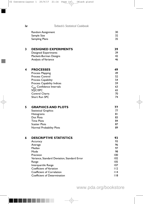**iv** *Torbeck's Statistical Cookbook*

| Random Assignment     | 30 |
|-----------------------|----|
| Sample Size           | 32 |
| <b>Sampling Plans</b> | 35 |

#### **3 DESIGNED EXPERIMENTS** 39<br>Designed Experiments 39 Designed Experiments

Plackett-Burman Designs 42 Analysis of Variance 46

#### **4 PROCESSES 49**

| Process Mapping                   | 49 |
|-----------------------------------|----|
| <b>Process Control</b>            | 52 |
| Process Capability                | 54 |
| Process Capability Indices        | 59 |
| $C_{\rm pk}$ Confidence Intervals | 63 |
| SQC/SPC                           | 65 |
| <b>Control Charts</b>             | 70 |
| Short Run SPC                     | 74 |
|                                   |    |

|  | <b>GRAPHICS AND PLOTS</b>   |    |
|--|-----------------------------|----|
|  | <b>Statistical Graphics</b> |    |
|  | <b>Histograms</b>           | 81 |
|  | Dot Plots                   | 83 |
|  | <b>Time Plots</b>           | 84 |
|  | <b>Scatter Plots</b>        | 87 |
|  | Normal Probability Plots    | 89 |

| 93    |
|-------|
| 93    |
| 96    |
| 97    |
| 98    |
| 100   |
| 102   |
| 105   |
| 107   |
| 112   |
| 114   |
| l I 8 |
|       |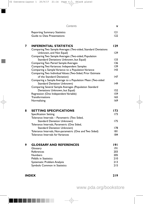|   | Contents                                                                                                           | v          |
|---|--------------------------------------------------------------------------------------------------------------------|------------|
|   | <b>Reporting Summary Statistics</b><br>Guide to Data Presentations                                                 | 121<br>122 |
| 7 | <b>INFERENTIAL STATISTICS</b><br>Comparing Two Sample Averages (Two-sided, Standard Deviations                     | 129        |
|   | Unknown, and Not Equal)                                                                                            | 129        |
|   | Comparing Two Sample Averages (Two-sided, Population                                                               |            |
|   | Standard Deviations Unknown, but Equal)                                                                            | 133        |
|   | Comparing Two Paired Sample Averages                                                                               | 136        |
|   | Comparing Two Variances: Independent Samples                                                                       | 139        |
|   | Comparing a Sample Variance to a Population Variance<br>Comparing Two Individual Values (Two-Sided, Prior Estimate | 43         |
|   | of the Standard Deviation)                                                                                         | 147        |
|   | Comparing a Sample Average to a Population Mean (Two-sided                                                         |            |
|   | Standard Deviation Unknown)                                                                                        | 149        |
|   | Comparing Several Sample Averages (Population Standard                                                             |            |
|   | Deviations Unknown, but Equal)                                                                                     | 152        |
|   | Regression (One Independent Variable)                                                                              | 159        |
|   | <b>Transformations</b>                                                                                             | 165        |
|   | Normalizing                                                                                                        | 169        |
| 8 | <b>SETTING SPECIFICATIONS</b>                                                                                      | 173        |
|   | Specification Setting                                                                                              | 173        |
|   | Tolerance Intervals - Parametric (Two Sided,                                                                       |            |
|   | Standard Deviation Unknown)                                                                                        | 175        |
|   | Tolerance Intervals, Parametric (One Sided,                                                                        |            |
|   | Standard Deviation Unknown)                                                                                        | 178        |
|   | Tolerance Intervals, Non-parametric (One and Two Sided)                                                            | 181        |
|   | Tolerance Intervals for Variances                                                                                  | 184        |
| 9 | <b>GLOSSARY AND REFERENCES</b>                                                                                     | 19 I       |
|   | Glossary                                                                                                           | 9          |
|   | References                                                                                                         | 203        |
|   | <b>Numbers</b>                                                                                                     | 205        |
|   | <b>Pitfalls in Statistics</b>                                                                                      | 210        |
|   | Systematic Problem Analysis                                                                                        | 213        |
|   | Symbols Common in Statistics                                                                                       | 215        |
|   |                                                                                                                    |            |

**INDEX 219**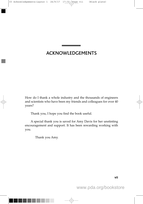## ACKNOWLEDGEMENTS

<u> The Common School Common School Common School Common School Common School Common School Common School Common School Common School Common School Common School Common School Common School Common School Common School Common</u>

How do I thank a whole industry and the thousands of engineers and scientists who have been my friends and colleagues for over 40 years?

Thank you, I hope you find the book useful.

A special thank you is saved for Amy Davis for her unstinting encouragement and support. It has been rewarding working with you.

Thank you Amy.

**vii**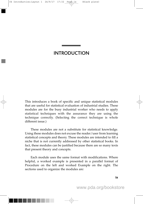## INTRODUCTION

the control of the control of the control of the

This introduces a book of specific and unique statistical modules that are useful for statistical evaluation of industrial studies. These modules are for the busy industrial worker who needs to apply statistical techniques with the assurance they are using the technique correctly. (Selecting the correct technique is whole different issue.)

These modules are not a substitute for statistical knowledge. Using these modules does not excuse the reader/user from learning statistical concepts and theory. These modules are intended to fill a niche that is not currently addressed by other statistical books. In fact, these modules can be justified because there are so many texts that present theory and concepts.

Each module uses the same format with modifications. Where helpful, a worked example is presented in a parallel format of Procedure on the left and worked Example on the right. The sections used to organize the modules are:

**ix**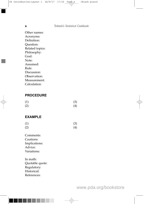#### **x** *Torbeck's Statistical Cookbook*

Other names: Acronyms: Definition: Question: Related topics: Philosophy: Goal: Note: Assumed: Rule: Discussion: Observation: Measurement: Calculation:

### **PROCEDURE**

| (1) | (3) |
|-----|-----|
| (2) | (4) |

#### **EXAMPLE**

| (1) | (3) |
|-----|-----|
| (2) | (4) |

Comments: Cautions: Implications: Advice: Variations:

In math: Quotable quote: Regulatory: Historical: References: